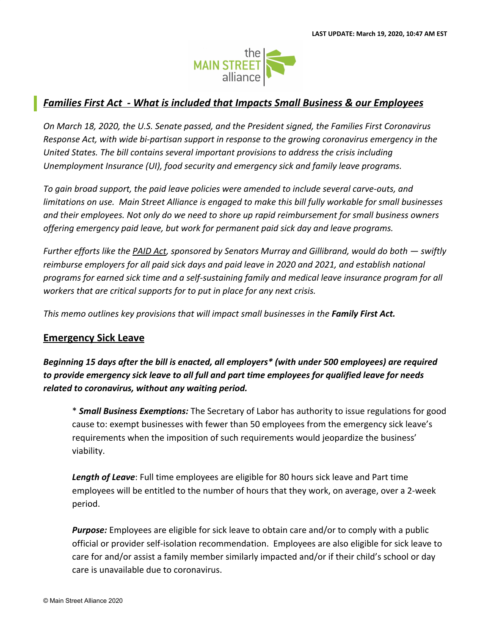

## *Families First Act - What is included that Impacts Small Business & our Employees*

*On March 18, 2020, the U.S. Senate passed, and the President signed, the Families First Coronavirus Response Act, with wide bi-partisan support in response to the growing coronavirus emergency in the United States. The bill contains several important provisions to address the crisis including Unemployment Insurance (UI), food security and emergency sick and family leave programs.*

*To gain broad support, the paid leave policies were amended to include several carve-outs, and limitations on use. Main Street Alliance is engaged to make this bill fully workable for small businesses and their employees. Not only do we need to shore up rapid reimbursement for small business owners offering emergency paid leave, but work for permanent paid sick day and leave programs.*

*Further efforts like the [PAID Act,](https://www.mainstreetalliance.org/r?u=sqsCWR9JNxHxtcnrTj7qYnq3njWOwPYfvXfbnPEqkLfHClJkOTiGnZG0d8xy5uRssJUSaErZLx_Bn20w4LjlhtRF35Oo9028mkaFATsHTtBC62ejsNGj2qCpscyDVTbY4B85E8V_Z6_RALWYsWcqeIaocXWaSvZtchKu4i5sqXjMtri_o9_zsdDtxj9C7DD9zLSsrEodB7r8Mp2sS_Zs1-8E4jVdud8bFihkeq81o7rbktNcTAXj1L9NXCHZl3rXKixLqhfH6TH04el8chXCEQ&e=4e3cb10cb30da6eaf7917f79cd48012b&utm_source=mainstreetalliance&utm_medium=email&utm_campaign=sb4pl_families_first_statement&n=1&test_email=1) sponsored by Senators Murray and Gillibrand, would do both — swiftly reimburse employers for all paid sick days and paid leave in 2020 and 2021, and establish national programs for earned sick time and a self-sustaining family and medical leave insurance program for all workers that are critical supports for to put in place for any next crisis.*

*This memo outlines key provisions that will impact small businesses in the Family First Act.*

## **Emergency Sick Leave**

*Beginning 15 days after the bill is enacted, all employers\* (with under 500 employees) are required to provide emergency sick leave to all full and part time employees for qualified leave for needs related to coronavirus, without any waiting period.*

\* *Small Business Exemptions:* The Secretary of Labor has authority to issue regulations for good cause to: exempt businesses with fewer than 50 employees from the emergency sick leave's requirements when the imposition of such requirements would jeopardize the business' viability.

*Length of Leave*: Full time employees are eligible for 80 hours sick leave and Part time employees will be entitled to the number of hours that they work, on average, over a 2-week period.

*Purpose:* Employees are eligible for sick leave to obtain care and/or to comply with a public official or provider self-isolation recommendation. Employees are also eligible for sick leave to care for and/or assist a family member similarly impacted and/or if their child's school or day care is unavailable due to coronavirus.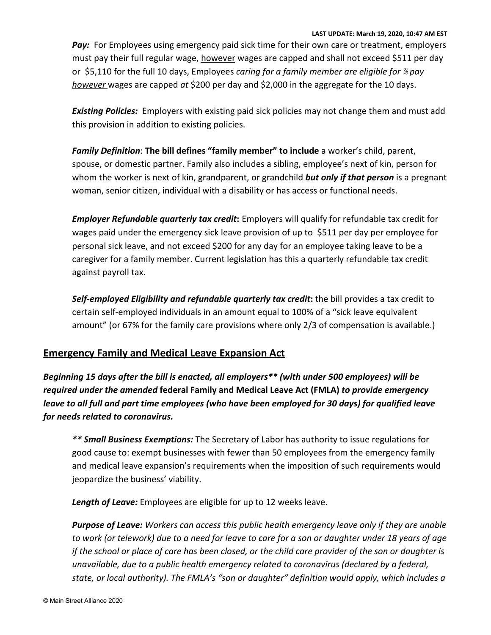**LAST UPDATE: March 19, 2020, 10:47 AM EST** *Pay:* For Employees using emergency paid sick time for their own care or treatment, employers must pay their full regular wage, however wages are capped and shall not exceed \$511 per day or \$5,110 for the full 10 days, Employees *caring for a family member are eligible for* ⅔ *pay however* wages are capped *at* \$200 per day and \$2,000 in the aggregate for the 10 days.

*Existing Policies:* Employers with existing paid sick policies may not change them and must add this provision in addition to existing policies.

*Family Definition*: **The bill defines "family member" to include** a worker's child, parent, spouse, or domestic partner. Family also includes a sibling, employee's next of kin, person for whom the worker is next of kin, grandparent, or grandchild *but only if that person* is a pregnant woman, senior citizen, individual with a disability or has access or functional needs.

*Employer Refundable quarterly tax credit***:** Employers will qualify for refundable tax credit for wages paid under the emergency sick leave provision of up to \$511 per day per employee for personal sick leave, and not exceed \$200 for any day for an employee taking leave to be a caregiver for a family member. Current legislation has this a quarterly refundable tax credit against payroll tax.

*Self-employed Eligibility and refundable quarterly tax credit***:** the bill provides a tax credit to certain self-employed individuals in an amount equal to 100% of a "sick leave equivalent amount" (or 67% for the family care provisions where only 2/3 of compensation is available.)

## **Emergency Family and Medical Leave Expansion Act**

*Beginning 15 days after the bill is enacted, all employers\*\* (with under 500 employees) will be required under the amended* **federal Family and Medical Leave Act (FMLA)** *to provide emergency leave to all full and part time employees (who have been employed for 30 days) for qualified leave for needs related to coronavirus.*

*\*\* Small Business Exemptions:* The Secretary of Labor has authority to issue regulations for good cause to: exempt businesses with fewer than 50 employees from the emergency family and medical leave expansion's requirements when the imposition of such requirements would jeopardize the business' viability.

*Length of Leave:* Employees are eligible for up to 12 weeks leave.

*Purpose of Leave: Workers can access this public health emergency leave only if they are unable to work (or telework) due to a need for leave to care for a son or daughter under 18 years of age if the school or place of care has been closed, or the child care provider of the son or daughter is unavailable, due to a public health emergency related to coronavirus (declared by a federal, state, or local authority). The FMLA's "son or daughter" definition would apply, which includes a*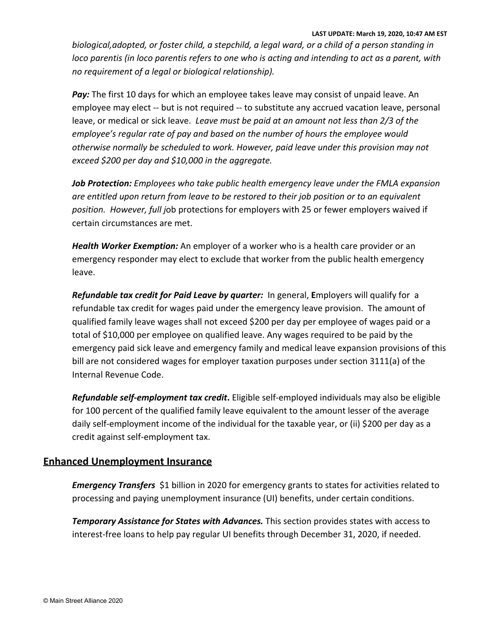**LAST UPDATE: March 19, 2020, 10:47 AM EST**

*biological,adopted, or foster child, a stepchild, a legal ward, or a child of a person standing in loco parentis (in loco parentis refers to one who is acting and intending to act as a parent, with no requirement of a legal or biological relationship).*

*Pay:* The first 10 days for which an employee takes leave may consist of unpaid leave. An employee may elect -- but is not required -- to substitute any accrued vacation leave, personal leave, or medical or sick leave. *Leave must be paid at an amount not less than 2/3 of the employee's regular rate of pay and based on the number of hours the employee would otherwise normally be scheduled to work. However, paid leave under this provision may not exceed \$200 per day and \$10,000 in the aggregate.*

*Job Protection: Employees who take public health emergency leave under the FMLA expansion are entitled upon return from leave to be restored to their job position or to an equivalent position. However, full j*ob protections for employers with 25 or fewer employers waived if certain circumstances are met.

*Health Worker Exemption:* An employer of a worker who is a health care provider or an emergency responder may elect to exclude that worker from the public health emergency leave.

*Refundable tax credit for Paid Leave by quarter:* In general, **E**mployers will qualify for a refundable tax credit for wages paid under the emergency leave provision. The amount of qualified family leave wages shall not exceed \$200 per day per employee of wages paid or a total of \$10,000 per employee on qualified leave. Any wages required to be paid by the emergency paid sick leave and emergency family and medical leave expansion provisions of this bill are not considered wages for employer taxation purposes under section 3111(a) of the Internal Revenue Code.

*Refundable self-employment tax credit***.** Eligible self-employed individuals may also be eligible for 100 percent of the qualified family leave equivalent to the amount lesser of the average daily self-employment income of the individual for the taxable year, or (ii) \$200 per day as a credit against self-employment tax.

## **Enhanced Unemployment Insurance**

*Emergency Transfers* \$1 billion in 2020 for emergency grants to states for activities related to processing and paying unemployment insurance (UI) benefits, under certain conditions.

*Temporary Assistance for States with Advances.* This section provides states with access to interest-free loans to help pay regular UI benefits through December 31, 2020, if needed.